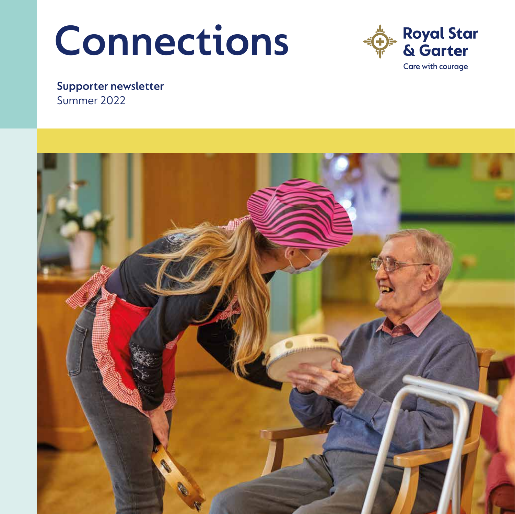# **Connections**



**Supporter newsletter**  Summer 2022

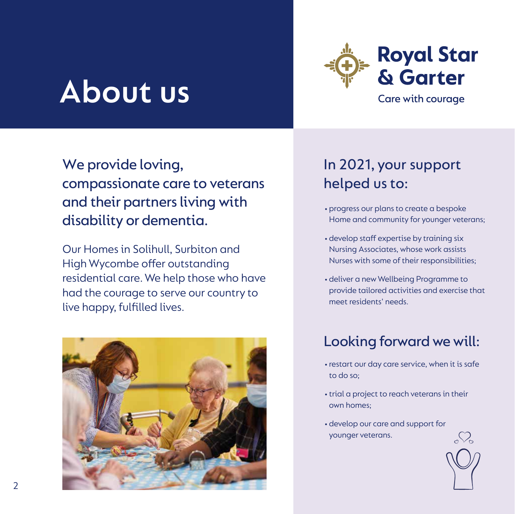## **About us**



We provide loving, compassionate care to veterans and their partners living with disability or dementia.

Our Homes in Solihull, Surbiton and High Wycombe offer outstanding residential care. We help those who have had the courage to serve our country to live happy, fulfilled lives.



### In 2021, your support helped us to:

- •progress our plans to create a bespoke Home and community for younger veterans;
- •develop staff expertise by training six Nursing Associates, whose work assists Nurses with some of their responsibilities;
- •deliver a new Wellbeing Programme to provide tailored activities and exercise that meet residents' needs.

### Looking forward we will:

- restart our day care service, when it is safe to do so;
- trial a project to reach veterans in their own homes;
- •develop our care and support for younger veterans.

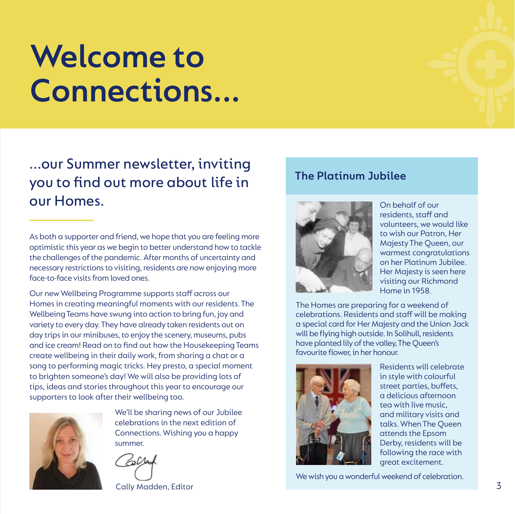## **Welcome to Connections...**

...our Summer newsletter, inviting you to find out more about life in our Homes.

As both a supporter and friend, we hope that you are feeling more optimistic this year as we begin to better understand how to tackle the challenges of the pandemic. After months of uncertainty and necessary restrictions to visiting, residents are now enjoying more face-to-face visits from loved ones.

Our new Wellbeing Programme supports staff across our Homes in creating meaningful moments with our residents. The Wellbeing Teams have swung into action to bring fun, joy and variety to every day. They have already taken residents out on day trips in our minibuses, to enjoy the scenery, museums, pubs and ice cream! Read on to find out how the Housekeeping Teams create wellbeing in their daily work, from sharing a chat or a song to performing magic tricks. Hey presto, a special moment to brighten someone's day! We will also be providing lots of tips, ideas and stories throughout this year to encourage our supporters to look after their wellbeing too.



We'll be sharing news of our Jubilee celebrations in the next edition of Connections. Wishing you a happy summer.

Cally Madden, Editor

#### **The Platinum Jubilee**



On behalf of our residents, staff and volunteers, we would like to wish our Patron, Her Majesty The Queen, our warmest congratulations on her Platinum Jubilee. Her Majesty is seen here visiting our Richmond Home in 1958.

The Homes are preparing for a weekend of celebrations. Residents and staff will be making a special card for Her Majesty and the Union Jack will be flying high outside. In Solihull, residents have planted lily of the valley, The Queen's favourite flower, in her honour.



Residents will celebrate in style with colourful street parties, buffets, a delicious afternoon tea with live music, and military visits and talks. When The Queen attends the Epsom Derby, residents will be following the race with great excitement.

We wish you a wonderful weekend of celebration.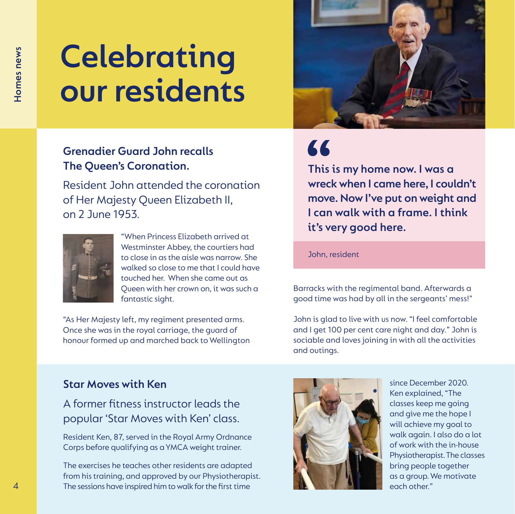## **Celebrating our residents**

#### **Grenadier Guard John recalls The Queen's Coronation.**

Resident John attended the coronation of Her Majesty Queen Elizabeth II, on 2 June 1953.



"When Princess Elizabeth arrived at Westminster Abbey, the courtiers had to close in as the aisle was narrow. She walked so close to me that I could have touched her. When she came out as Queen with her crown on, it was such a fantastic sight.

"As Her Majesty left, my regiment presented arms. Once she was in the royal carriage, the guard of honour formed up and marched back to Wellington



## 66

**This is my home now. I was a wreck when I came here, I couldn't move. Now I've put on weight and I can walk with a frame. I think it's very good here.**

John, resident

Barracks with the regimental band. Afterwards a good time was had by all in the sergeants' mess!"

John is glad to live with us now. "I feel comfortable and I get 100 per cent care night and day." John is sociable and loves joining in with all the activities and outings.

#### **Star Moves with Ken**

A former fitness instructor leads the popular 'Star Moves with Ken' class.

Resident Ken, 87, served in the Royal Army Ordnance Corps before qualifying as a YMCA weight trainer.

The exercises he teaches other residents are adapted from his training, and approved by our Physiotherapist. The sessions have inspired him to walk for the first time



since December 2020. Ken explained, "The classes keep me going and give me the hope I will achieve my goal to walk again. I also do a lot of work with the in-house Physiotherapist. The classes bring people together as a group. We motivate each other."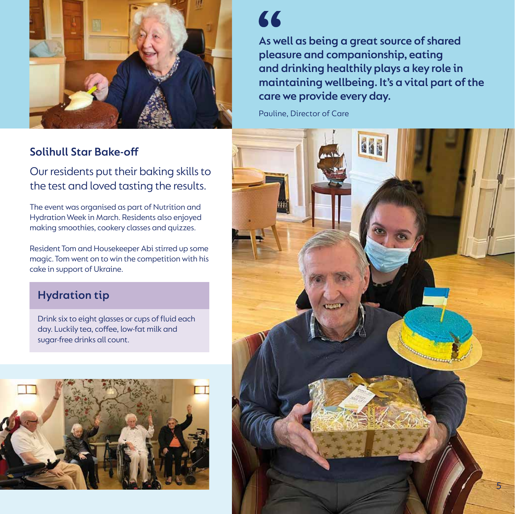

#### **Solihull Star Bake-off**

Our residents put their baking skills to the test and loved tasting the results.

The event was organised as part of Nutrition and Hydration Week in March. Residents also enjoyed making smoothies, cookery classes and quizzes.

Resident Tom and Housekeeper Abi stirred up some magic. Tom went on to win the competition with his cake in support of Ukraine.

#### **Hydration tip**

Drink six to eight glasses or cups of fluid each day. Luckily tea, coffee, low-fat milk and sugar-free drinks all count.



### 66

**As well as being a great source of shared pleasure and companionship, eating and drinking healthily plays a key role in maintaining wellbeing. It's a vital part of the care we provide every day.** 

Pauline, Director of Care

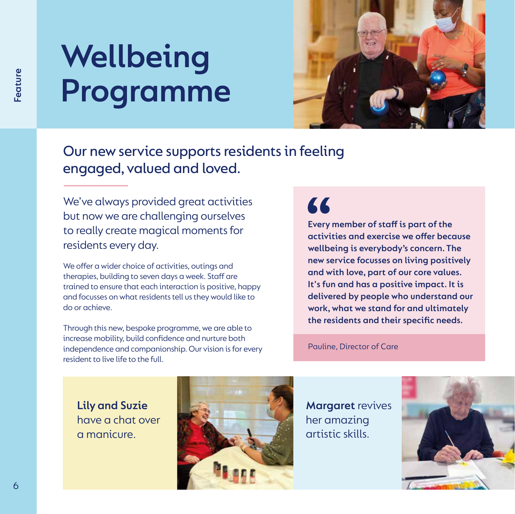## **Wellbeing Programme**



Our new service supports residents in feeling engaged, valued and loved.

We've always provided great activities but now we are challenging ourselves to really create magical moments for residents every day.

We offer a wider choice of activities, outings and therapies, building to seven days a week. Staff are trained to ensure that each interaction is positive, happy and focusses on what residents tell us they would like to do or achieve.

Through this new, bespoke programme, we are able to increase mobility, build confidence and nurture both independence and companionship. Our vision is for every resident to live life to the full.

### 66

**Every member of staff is part of the activities and exercise we offer because wellbeing is everybody's concern. The new service focusses on living positively and with love, part of our core values. It's fun and has a positive impact. It is delivered by people who understand our work, what we stand for and ultimately the residents and their specific needs.**

Pauline, Director of Care

**Lily and Suzie**  have a chat over a manicure.



**Margaret** revives her amazing artistic skills.

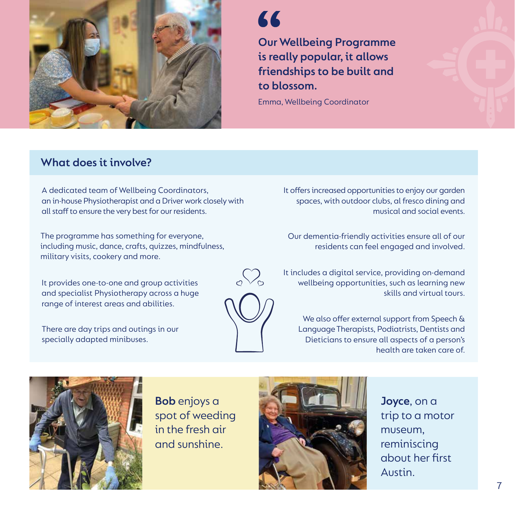

### **A**

**Our Wellbeing Programme is really popular, it allows friendships to be built and to blossom.**

Emma, Wellbeing Coordinator

#### **What does it involve?**

A dedicated team of Wellbeing Coordinators, an in-house Physiotherapist and a Driver work closely with all staff to ensure the very best for our residents.

The programme has something for everyone, including music, dance, crafts, quizzes, mindfulness, military visits, cookery and more.

It provides one-to-one and group activities and specialist Physiotherapy across a huge range of interest areas and abilities.

There are day trips and outings in our specially adapted minibuses.



It offers increased opportunities to enjoy our garden spaces, with outdoor clubs, al fresco dining and musical and social events.

Our dementia-friendly activities ensure all of our residents can feel engaged and involved.

It includes a digital service, providing on-demand wellbeing opportunities, such as learning new skills and virtual tours.

We also offer external support from Speech & Language Therapists, Podiatrists, Dentists and Dieticians to ensure all aspects of a person's health are taken care of.



**Bob** enjoys a spot of weeding in the fresh air and sunshine.



**Joyce**, on a trip to a motor museum, reminiscing about her first Austin.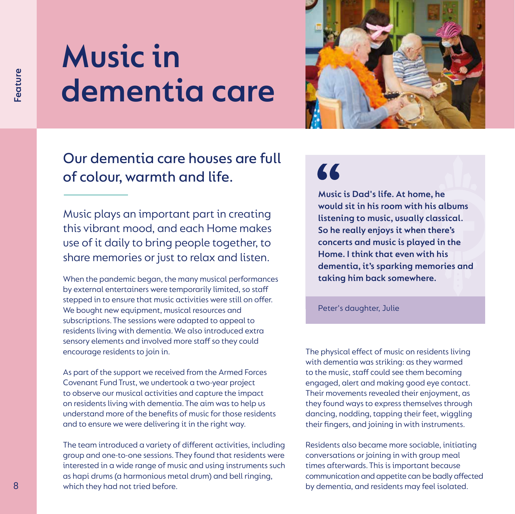## **Music in dementia care**



### Our dementia care houses are full of colour, warmth and life.

Music plays an important part in creating this vibrant mood, and each Home makes use of it daily to bring people together, to share memories or just to relax and listen.

When the pandemic began, the many musical performances by external entertainers were temporarily limited, so staff stepped in to ensure that music activities were still on offer. We bought new equipment, musical resources and subscriptions. The sessions were adapted to appeal to residents living with dementia. We also introduced extra sensory elements and involved more staff so they could encourage residents to join in.

As part of the support we received from the Armed Forces Covenant Fund Trust, we undertook a two-year project to observe our musical activities and capture the impact on residents living with dementia. The aim was to help us understand more of the benefits of music for those residents and to ensure we were delivering it in the right way.

The team introduced a variety of different activities, including group and one-to-one sessions. They found that residents were interested in a wide range of music and using instruments such as hapi drums (a harmonious metal drum) and bell ringing, which they had not tried before.

### 66

**Music is Dad's life. At home, he would sit in his room with his albums listening to music, usually classical. So he really enjoys it when there's concerts and music is played in the Home. I think that even with his dementia, it's sparking memories and taking him back somewhere.**

#### Peter's daughter, Julie

The physical effect of music on residents living with dementia was striking: as they warmed to the music, staff could see them becoming engaged, alert and making good eye contact. Their movements revealed their enjoyment, as they found ways to express themselves through dancing, nodding, tapping their feet, wiggling their fingers, and joining in with instruments.

Residents also became more sociable, initiating conversations or joining in with group meal times afterwards. This is important because communication and appetite can be badly affected by dementia, and residents may feel isolated.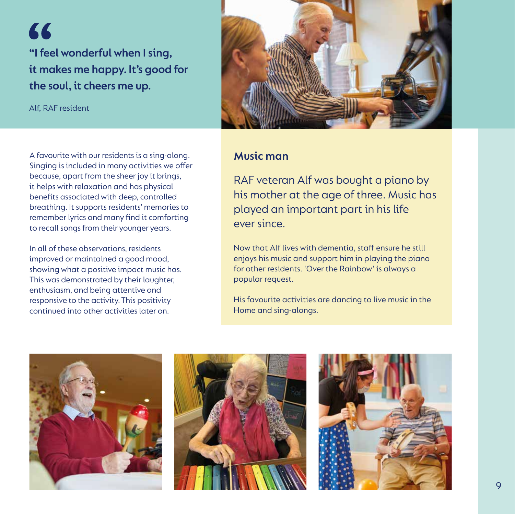" **"I feel wonderful when I sing, it makes me happy. It's good for the soul, it cheers me up.**

Alf, RAF resident



#### **Music man**

A favourite with our residents is a sing-along. Singing is included in many activities we offer because, apart from the sheer joy it brings, it helps with relaxation and has physical benefits associated with deep, controlled breathing. It supports residents' memories to remember lyrics and many find it comforting to recall songs from their younger years.

In all of these observations, residents improved or maintained a good mood, showing what a positive impact music has. This was demonstrated by their laughter, enthusiasm, and being attentive and responsive to the activity. This positivity continued into other activities later on.

RAF veteran Alf was bought a piano by his mother at the age of three. Music has played an important part in his life ever since.

Now that Alf lives with dementia, staff ensure he still enjoys his music and support him in playing the piano for other residents. 'Over the Rainbow' is always a popular request.

His favourite activities are dancing to live music in the Home and sing-alongs.

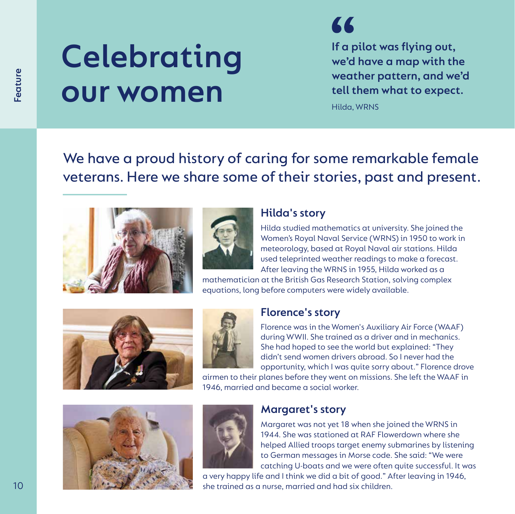## **Celebrating our women**

**If a pilot was flying out, we'd have a map with the weather pattern, and we'd tell them what to expect.** 

Hilda, WRNS

We have a proud history of caring for some remarkable female veterans. Here we share some of their stories, past and present.





#### **Hilda's story**

Hilda studied mathematics at university. She joined the Women's Royal Naval Service (WRNS) in 1950 to work in meteorology, based at Royal Naval air stations. Hilda used teleprinted weather readings to make a forecast. After leaving the WRNS in 1955, Hilda worked as a

mathematician at the British Gas Research Station, solving complex equations, long before computers were widely available.





#### **Florence's story**

Florence was in the Women's Auxiliary Air Force (WAAF) during WWII. She trained as a driver and in mechanics. She had hoped to see the world but explained: "They didn't send women drivers abroad. So I never had the opportunity, which I was quite sorry about." Florence drove

airmen to their planes before they went on missions. She left the WAAF in 1946, married and became a social worker.





#### **Margaret's story**

Margaret was not yet 18 when she joined the WRNS in 1944. She was stationed at RAF Flowerdown where she helped Allied troops target enemy submarines by listening to German messages in Morse code. She said: "We were catching U-boats and we were often quite successful. It was

a very happy life and I think we did a bit of good." After leaving in 1946, she trained as a nurse, married and had six children.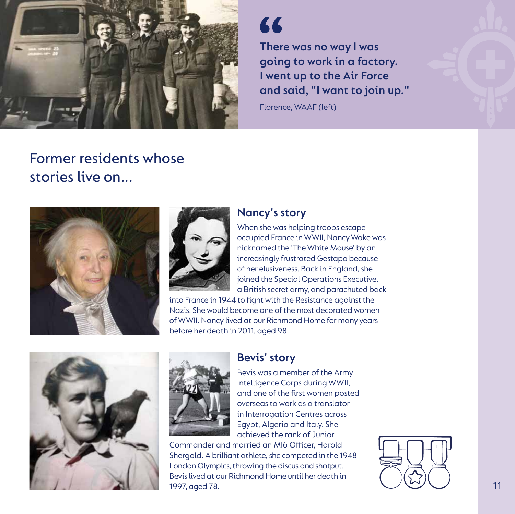

### "

**There was no way I was going to work in a factory. I went up to the Air Force and said, "I want to join up."**

Florence, WAAF (left)

### Former residents whose stories live on...





#### **Nancy's story**

When she was helping troops escape occupied France in WWII, Nancy Wake was nicknamed the 'The White Mouse' by an increasingly frustrated Gestapo because of her elusiveness. Back in England, she joined the Special Operations Executive, a British secret army, and parachuted back

into France in 1944 to fight with the Resistance against the Nazis. She would become one of the most decorated women of WWII. Nancy lived at our Richmond Home for many years before her death in 2011, aged 98.





#### **Bevis' story**

Bevis was a member of the Army Intelligence Corps during WWII, and one of the first women posted overseas to work as a translator in Interrogation Centres across Egypt, Algeria and Italy. She achieved the rank of Junior

Commander and married an MI6 Officer, Harold Shergold. A brilliant athlete, she competed in the 1948 London Olympics, throwing the discus and shotput. Bevis lived at our Richmond Home until her death in 1997, aged 78.

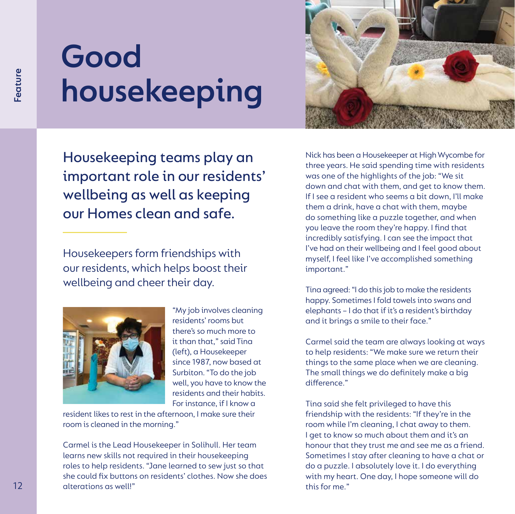## **Good housekeeping**

**12 House keeping teams play an**<br> **Examplemental in the state of the state of the state of the state of the state of the state of the state of the state of the state of the state of the state of the state of the state of** Housekeeping teams play an important role in our residents' wellbeing as well as keeping our Homes clean and safe.

Housekeepers form friendships with our residents, which helps boost their wellbeing and cheer their day.



"My job involves cleaning residents' rooms but there's so much more to it than that," said Tina (left), a Housekeeper since 1987, now based at Surbiton. "To do the job well, you have to know the residents and their habits. For instance, if I know a

resident likes to rest in the afternoon, I make sure their room is cleaned in the morning."

Carmel is the Lead Housekeeper in Solihull. Her team learns new skills not required in their housekeeping roles to help residents. "Jane learned to sew just so that she could fix buttons on residents' clothes. Now she does alterations as well!"



Nick has been a Housekeeper at High Wycombe for three years. He said spending time with residents was one of the highlights of the job: "We sit down and chat with them, and get to know them. If I see a resident who seems a bit down, I'll make them a drink, have a chat with them, maybe do something like a puzzle together, and when you leave the room they're happy. I find that incredibly satisfying. I can see the impact that I've had on their wellbeing and I feel good about myself, I feel like I've accomplished something important."

Tina agreed: "I do this job to make the residents happy. Sometimes I fold towels into swans and elephants – I do that if it's a resident's birthday and it brings a smile to their face."

Carmel said the team are always looking at ways to help residents: "We make sure we return their things to the same place when we are cleaning. The small things we do definitely make a big difference"

Tina said she felt privileged to have this friendship with the residents: "If they're in the room while I'm cleaning, I chat away to them. I get to know so much about them and it's an honour that they trust me and see me as a friend. Sometimes I stay after cleaning to have a chat or do a puzzle. I absolutely love it. I do everything with my heart. One day, I hope someone will do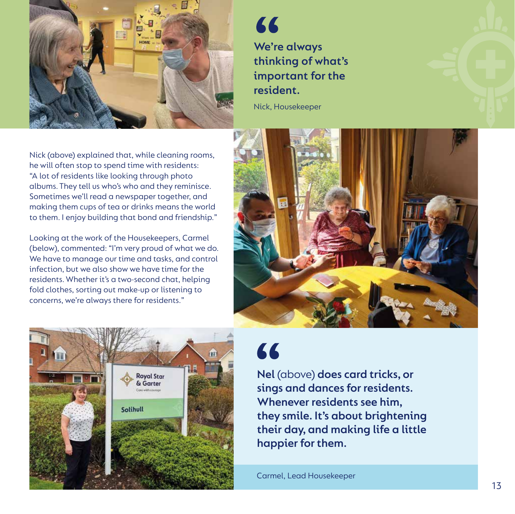

66 **We're always thinking of what's important for the resident.**

Nick, Housekeeper

Nick (above) explained that, while cleaning rooms, he will often stop to spend time with residents: "A lot of residents like looking through photo albums. They tell us who's who and they reminisce. Sometimes we'll read a newspaper together, and making them cups of tea or drinks means the world to them. I enjoy building that bond and friendship."

Looking at the work of the Housekeepers, Carmel (below), commented: "I'm very proud of what we do. We have to manage our time and tasks, and control infection, but we also show we have time for the residents. Whether it's a two-second chat, helping fold clothes, sorting out make-up or listening to concerns, we're always there for residents."





66

**Nel** (above) **does card tricks, or sings and dances for residents. Whenever residents see him, they smile. It's about brightening**  their day, and making life a little **happier for them.** 

Carmel, Lead Housekeeper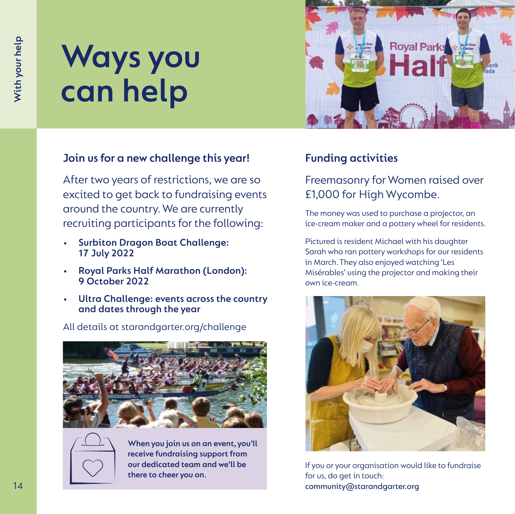## **Ways you can help**

#### **Join us for a new challenge this year!**

After two years of restrictions, we are so excited to get back to fundraising events around the country. We are currently recruiting participants for the following:

- **• Surbiton Dragon Boat Challenge: 17 July 2022**
- **• Royal Parks Half Marathon (London): 9 October 2022**
- **• Ultra Challenge: events across the country and dates through the year**



**When you join us on an event, you'll receive fundraising support from our dedicated team and we'll be there to cheer you on.**



#### **Funding activities**

#### Freemasonry for Women raised over £1,000 for High Wycombe.

The money was used to purchase a projector, an ice-cream maker and a pottery wheel for residents.

Pictured is resident Michael with his daughter Sarah who ran pottery workshops for our residents in March. They also enjoyed watching 'Les Misérables' using the projector and making their own ice-cream.



If you or your organisation would like to fundraise for us, do get in touch: community@starandgarter.org

#### All details at starandgarter.org/challenge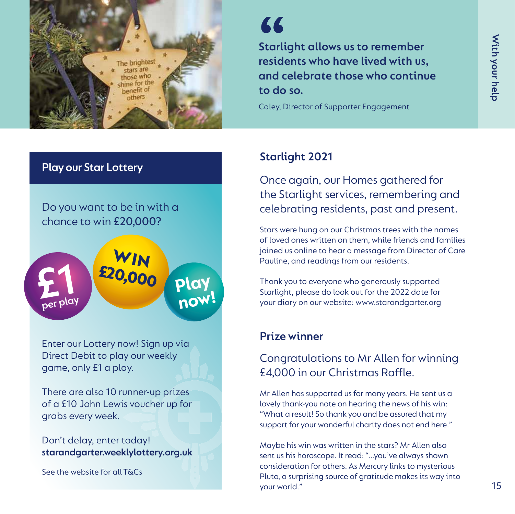

### 77

Starlight allows us to remember<br>
residents who have lived with us,<br>
and celebrate those who continue<br>
to do so.<br>
Caley, Director of Supporter Engagement<br>
Starlight 2021<br>
Once again, our Homes gathered for<br>
the Starlight se **Starlight allows us to remember residents who have lived with us, and celebrate those who continue to do so.**

Caley, Director of Supporter Engagement

#### **Starlight 2021**

Once again, our Homes gathered for the Starlight services, remembering and celebrating residents, past and present.

Stars were hung on our Christmas trees with the names of loved ones written on them, while friends and families joined us online to hear a message from Director of Care Pauline, and readings from our residents.

Thank you to everyone who generously supported Starlight, please do look out for the 2022 date for your diary on our website: www.starandgarter.org

#### **Prize winner**

#### Congratulations to Mr Allen for winning £4,000 in our Christmas Raffle.

Mr Allen has supported us for many years. He sent us a lovely thank-you note on hearing the news of his win: "What a result! So thank you and be assured that my support for your wonderful charity does not end here."

Maybe his win was written in the stars? Mr Allen also sent us his horoscope. It read: "…you've always shown consideration for others. As Mercury links to mysterious Pluto, a surprising source of gratitude makes its way into

#### **Play our Star Lottery**

Do you want to be in with a chance to win £20,000?



Enter our Lottery now! Sign up via Direct Debit to play our weekly game, only £1 a play.

There are also 10 runner-up prizes of a £10 John Lewis voucher up for grabs every week.

Don't delay, enter today! starandgarter.weeklylottery.org.uk

See the website for all T&Cs